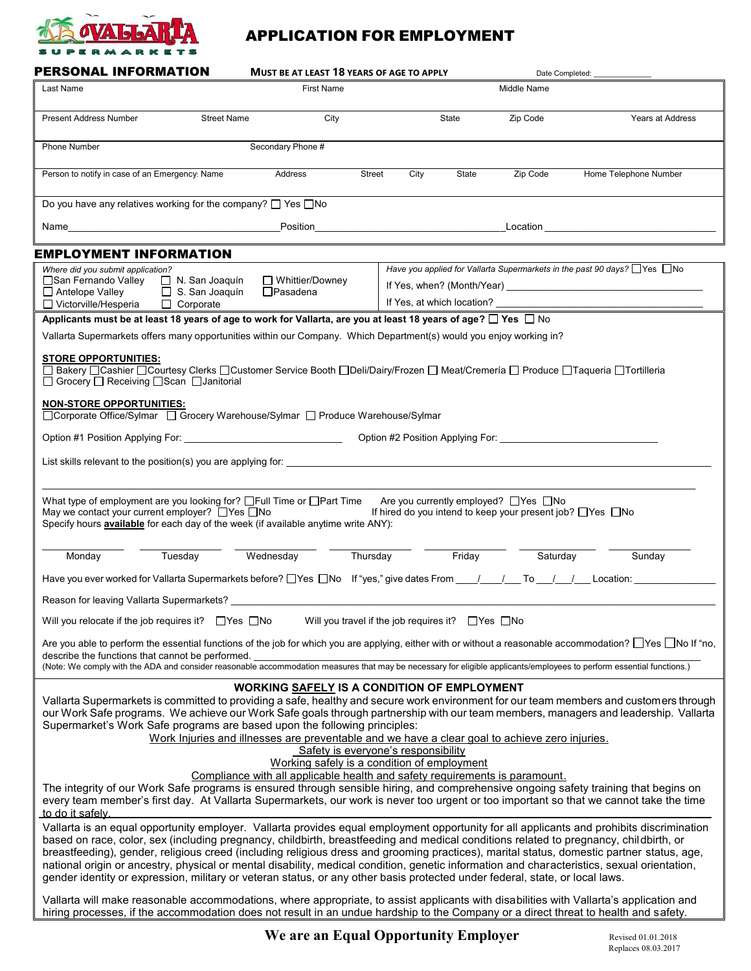

# APPLICATION FOR EMPLOYMENT

| <b>PERSONAL INFORMATION</b>                                                                                                                                                                                                                                                                                                                                                                                                                                                                                                                                                                                                                                                                                                                                                                                                     | <b>MUST BE AT LEAST 18 YEARS OF AGE TO APPLY</b><br>Date Completed: |                                                                                                                           |             |                                                                                                                          |  |
|---------------------------------------------------------------------------------------------------------------------------------------------------------------------------------------------------------------------------------------------------------------------------------------------------------------------------------------------------------------------------------------------------------------------------------------------------------------------------------------------------------------------------------------------------------------------------------------------------------------------------------------------------------------------------------------------------------------------------------------------------------------------------------------------------------------------------------|---------------------------------------------------------------------|---------------------------------------------------------------------------------------------------------------------------|-------------|--------------------------------------------------------------------------------------------------------------------------|--|
| Last Name                                                                                                                                                                                                                                                                                                                                                                                                                                                                                                                                                                                                                                                                                                                                                                                                                       | <b>First Name</b>                                                   |                                                                                                                           | Middle Name |                                                                                                                          |  |
| Present Address Number<br><b>Street Name</b>                                                                                                                                                                                                                                                                                                                                                                                                                                                                                                                                                                                                                                                                                                                                                                                    | City                                                                | State                                                                                                                     | Zip Code    | Years at Address                                                                                                         |  |
| Phone Number                                                                                                                                                                                                                                                                                                                                                                                                                                                                                                                                                                                                                                                                                                                                                                                                                    | Secondary Phone #                                                   |                                                                                                                           |             |                                                                                                                          |  |
| Person to notify in case of an Emergency: Name                                                                                                                                                                                                                                                                                                                                                                                                                                                                                                                                                                                                                                                                                                                                                                                  | Street<br>Address                                                   | City<br>State                                                                                                             | Zip Code    | Home Telephone Number                                                                                                    |  |
| Do you have any relatives working for the company? $\Box$ Yes $\Box$ No                                                                                                                                                                                                                                                                                                                                                                                                                                                                                                                                                                                                                                                                                                                                                         |                                                                     |                                                                                                                           |             |                                                                                                                          |  |
| Name and the state of the state of the state of the state of the state of the state of the state of the state of the state of the state of the state of the state of the state of the state of the state of the state of the s                                                                                                                                                                                                                                                                                                                                                                                                                                                                                                                                                                                                  |                                                                     |                                                                                                                           |             | Location <b>Exercise Service Service Service Service</b> Service Service Service Service Service Service Service Service |  |
| <b>EMPLOYMENT INFORMATION</b>                                                                                                                                                                                                                                                                                                                                                                                                                                                                                                                                                                                                                                                                                                                                                                                                   |                                                                     |                                                                                                                           |             |                                                                                                                          |  |
| Where did you submit application?                                                                                                                                                                                                                                                                                                                                                                                                                                                                                                                                                                                                                                                                                                                                                                                               |                                                                     | Have you applied for Vallarta Supermarkets in the past 90 days? $\Box$ Yes $\Box$ No                                      |             |                                                                                                                          |  |
| □San Fernando Valley<br>$\Box$ N. San Joaquín                                                                                                                                                                                                                                                                                                                                                                                                                                                                                                                                                                                                                                                                                                                                                                                   | □ Whittier/Downey                                                   |                                                                                                                           |             |                                                                                                                          |  |
| □ Antelope Valley<br>$\Box$ S. San Joaquín<br>$\Box$ Victorville/Hesperia<br>$\Box$ Corporate                                                                                                                                                                                                                                                                                                                                                                                                                                                                                                                                                                                                                                                                                                                                   | $\Box$ Pasadena                                                     | If Yes, at which location?                                                                                                |             |                                                                                                                          |  |
| Applicants must be at least 18 years of age to work for Vallarta, are you at least 18 years of age? $\Box$ Yes $\Box$ No                                                                                                                                                                                                                                                                                                                                                                                                                                                                                                                                                                                                                                                                                                        |                                                                     |                                                                                                                           |             |                                                                                                                          |  |
| Vallarta Supermarkets offers many opportunities within our Company. Which Department(s) would you enjoy working in?                                                                                                                                                                                                                                                                                                                                                                                                                                                                                                                                                                                                                                                                                                             |                                                                     |                                                                                                                           |             |                                                                                                                          |  |
|                                                                                                                                                                                                                                                                                                                                                                                                                                                                                                                                                                                                                                                                                                                                                                                                                                 |                                                                     |                                                                                                                           |             |                                                                                                                          |  |
| <b>STORE OPPORTUNITIES:</b><br>□ Bakery □ Cashier □ Courtesy Clerks □ Customer Service Booth □ Deli/Dairy/Frozen □ Meat/Cremería □ Produce □ Taqueria □ Tortilleria<br>□ Grocery □ Receiving □ Scan □ Janitorial                                                                                                                                                                                                                                                                                                                                                                                                                                                                                                                                                                                                                |                                                                     |                                                                                                                           |             |                                                                                                                          |  |
| <b>NON-STORE OPPORTUNITIES:</b><br>□ Corporate Office/Sylmar □ Grocery Warehouse/Sylmar □ Produce Warehouse/Sylmar                                                                                                                                                                                                                                                                                                                                                                                                                                                                                                                                                                                                                                                                                                              |                                                                     |                                                                                                                           |             |                                                                                                                          |  |
|                                                                                                                                                                                                                                                                                                                                                                                                                                                                                                                                                                                                                                                                                                                                                                                                                                 |                                                                     |                                                                                                                           |             |                                                                                                                          |  |
| List skills relevant to the position(s) you are applying for:<br>in the contract of the contract of the contract of the contract of the contract of the contract of the contract of the contract of the contract of the contract                                                                                                                                                                                                                                                                                                                                                                                                                                                                                                                                                                                                |                                                                     |                                                                                                                           |             |                                                                                                                          |  |
| What type of employment are you looking for? □Full Time or □Part Time<br>May we contact your current employer? □ Yes □ No<br>Specify hours <b>available</b> for each day of the week (if available anytime write ANY):                                                                                                                                                                                                                                                                                                                                                                                                                                                                                                                                                                                                          |                                                                     | Are you currently employed? $\Box$ Yes $\Box$ No<br>If hired do you intend to keep your present job? $\Box$ Yes $\Box$ No |             |                                                                                                                          |  |
| Tuesday<br>Monday                                                                                                                                                                                                                                                                                                                                                                                                                                                                                                                                                                                                                                                                                                                                                                                                               | Wednesday<br>Thursday                                               | Friday                                                                                                                    | Saturday    | Sunday                                                                                                                   |  |
|                                                                                                                                                                                                                                                                                                                                                                                                                                                                                                                                                                                                                                                                                                                                                                                                                                 |                                                                     |                                                                                                                           |             |                                                                                                                          |  |
| Reason for leaving Vallarta Supermarkets?                                                                                                                                                                                                                                                                                                                                                                                                                                                                                                                                                                                                                                                                                                                                                                                       |                                                                     |                                                                                                                           |             |                                                                                                                          |  |
| Will you relocate if the job requires it? $\Box$ Yes $\Box$ No<br>Will you travel if the job requires it? $\Box$ Yes $\Box$ No                                                                                                                                                                                                                                                                                                                                                                                                                                                                                                                                                                                                                                                                                                  |                                                                     |                                                                                                                           |             |                                                                                                                          |  |
| Are you able to perform the essential functions of the job for which you are applying, either with or without a reasonable accommodation? □ Yes □ No If "no,<br>describe the functions that cannot be performed.                                                                                                                                                                                                                                                                                                                                                                                                                                                                                                                                                                                                                |                                                                     |                                                                                                                           |             |                                                                                                                          |  |
| (Note: We comply with the ADA and consider reasonable accommodation measures that may be necessary for eligible applicants/employees to perform essential functions.)                                                                                                                                                                                                                                                                                                                                                                                                                                                                                                                                                                                                                                                           |                                                                     |                                                                                                                           |             |                                                                                                                          |  |
| <b>WORKING SAFELY IS A CONDITION OF EMPLOYMENT</b><br>Vallarta Supermarkets is committed to providing a safe, healthy and secure work environment for our team members and customers through<br>our Work Safe programs. We achieve our Work Safe goals through partnership with our team members, managers and leadership. Vallarta<br>Supermarket's Work Safe programs are based upon the following principles:<br>Work Injuries and illnesses are preventable and we have a clear goal to achieve zero injuries.<br>Safety is everyone's responsibility<br>Working safely is a condition of employment<br>Compliance with all applicable health and safety requirements is paramount.<br>The integrity of our Work Safe programs is ensured through sensible hiring, and comprehensive ongoing safety training that begins on |                                                                     |                                                                                                                           |             |                                                                                                                          |  |
| every team member's first day. At Vallarta Supermarkets, our work is never too urgent or too important so that we cannot take the time<br>to do it safely.                                                                                                                                                                                                                                                                                                                                                                                                                                                                                                                                                                                                                                                                      |                                                                     |                                                                                                                           |             |                                                                                                                          |  |
| Vallarta is an equal opportunity employer. Vallarta provides equal employment opportunity for all applicants and prohibits discrimination<br>based on race, color, sex (including pregnancy, childbirth, breastfeeding and medical conditions related to pregnancy, childbirth, or<br>breastfeeding), gender, religious creed (including religious dress and grooming practices), marital status, domestic partner status, age,<br>national origin or ancestry, physical or mental disability, medical condition, genetic information and characteristics, sexual orientation,<br>gender identity or expression, military or veteran status, or any other basis protected under federal, state, or local laws.                                                                                                                  |                                                                     |                                                                                                                           |             |                                                                                                                          |  |
| Vallarta will make reasonable accommodations, where appropriate, to assist applicants with disabilities with Vallarta's application and<br>hiring processes, if the accommodation does not result in an undue hardship to the Company or a direct threat to health and safety.                                                                                                                                                                                                                                                                                                                                                                                                                                                                                                                                                  |                                                                     |                                                                                                                           |             |                                                                                                                          |  |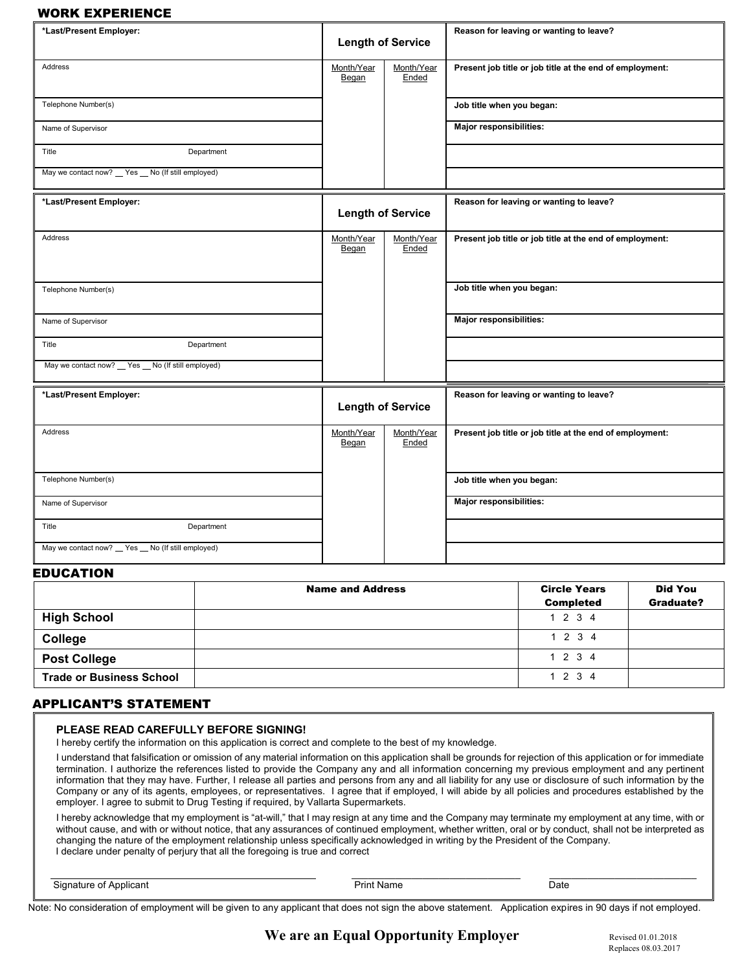### WORK EXPERIENCE

| *Last/Present Employer:                                      | <b>Length of Service</b> |                          | Reason for leaving or wanting to leave?                  |
|--------------------------------------------------------------|--------------------------|--------------------------|----------------------------------------------------------|
| Address                                                      | Month/Year<br>Began      | Month/Year<br>Ended      | Present job title or job title at the end of employment: |
| Telephone Number(s)                                          |                          |                          | Job title when you began:                                |
| Name of Supervisor                                           |                          |                          | Major responsibilities:                                  |
| Title<br>Department                                          |                          |                          |                                                          |
| May we contact now? □ Yes □ No (If still employed)           |                          |                          |                                                          |
| *Last/Present Employer:                                      | <b>Length of Service</b> |                          | Reason for leaving or wanting to leave?                  |
| Address                                                      | Month/Year<br>Began      | Month/Year<br>Ended      | Present job title or job title at the end of employment: |
| Telephone Number(s)                                          |                          |                          | Job title when you began:                                |
| Name of Supervisor                                           |                          |                          | Major responsibilities:                                  |
| Title<br>Department                                          |                          |                          |                                                          |
| May we contact now? $\Box$ Yes $\Box$ No (If still employed) |                          |                          |                                                          |
| *Last/Present Employer:                                      |                          | <b>Length of Service</b> | Reason for leaving or wanting to leave?                  |
| Address                                                      | Month/Year<br>Began      | Month/Year<br>Ended      | Present job title or job title at the end of employment: |
| Telephone Number(s)                                          |                          |                          | Job title when you began:                                |
| Name of Supervisor                                           |                          |                          | Major responsibilities:                                  |
| Title<br>Department                                          |                          |                          |                                                          |
| May we contact now? $\Box$ Yes $\Box$ No (If still employed) |                          |                          |                                                          |

## EDUCATION

|                                 | <b>Name and Address</b> | <b>Circle Years</b><br><b>Completed</b> | <b>Did You</b><br>Graduate? |
|---------------------------------|-------------------------|-----------------------------------------|-----------------------------|
| <b>High School</b>              |                         | 1234                                    |                             |
| College                         |                         | 1 2 3 4                                 |                             |
| <b>Post College</b>             |                         | 1234                                    |                             |
| <b>Trade or Business School</b> |                         | 1 2 3 4                                 |                             |

### APPLICANT'S STATEMENT

| PLEASE READ CAREFULLY BEFORE SIGNING! |  |
|---------------------------------------|--|
|---------------------------------------|--|

I hereby certify the information on this application is correct and complete to the best of my knowledge.

I understand that falsification or omission of any material information on this application shall be grounds for rejection of this application or for immediate termination. I authorize the references listed to provide the Company any and all information concerning my previous employment and any pertinent information that they may have. Further, I release all parties and persons from any and all liability for any use or disclosure of such information by the Company or any of its agents, employees, or representatives. I agree that if employed, I will abide by all policies and procedures established by the employer. I agree to submit to Drug Testing if required, by Vallarta Supermarkets.

I hereby acknowledge that my employment is "at-will," that I may resign at any time and the Company may terminate my employment at any time, with or without cause, and with or without notice, that any assurances of continued employment, whether written, oral or by conduct, shall not be interpreted as changing the nature of the employment relationship unless specifically acknowledged in writing by the President of the Company. I declare under penalty of perjury that all the foregoing is true and correct

| ገሓተ<br>$-$<br>,,,,<br>Jalt<br>$ -$<br>. . |  |
|-------------------------------------------|--|
|-------------------------------------------|--|

Note: No consideration of employment will be given to any applicant that does not sign the above statement. Application expires in 90 days if not employed.

# **We are an Equal Opportunity Employer** Revised 01.01.2018